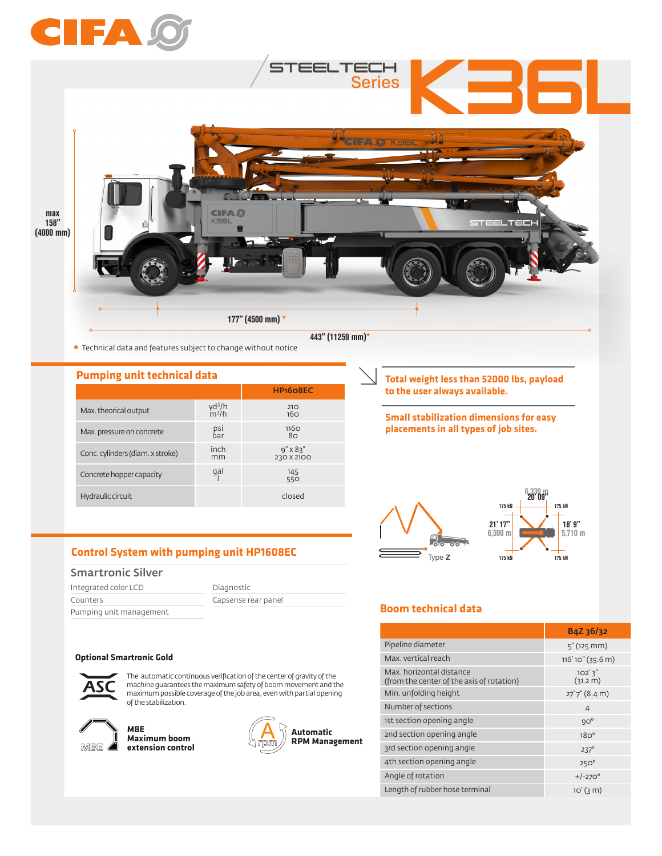

**\*** Technical data and features subject to change without notice

| <b>Pumping unit technical data</b> |                                       |                                 | Total weight less than 52000 lbs, payl         |  |
|------------------------------------|---------------------------------------|---------------------------------|------------------------------------------------|--|
|                                    |                                       | HP <sub>160</sub> 8EC           | to the user always available.                  |  |
| Max. theorical output              | yd <sup>3</sup> /h<br>$\frac{m^3}{h}$ | 210<br>16 <sub>O</sub>          | <b>Small stabilization dimensions for east</b> |  |
| Max. pressure on concrete          | psi<br>bar                            | 116Q<br>80                      | placements in all types of job sites.          |  |
| Conc. cylinders (diam. x stroke)   | inch<br>mm                            | $9'' \times 83''$<br>230 X 2100 |                                                |  |
| Concrete hopper capacity           | gal                                   | 145<br>550                      |                                                |  |
| Hydraulic circuit                  |                                       | closed                          | <b>175 kN</b>                                  |  |

**Control System with pumping unit HP1608EC**

# Smartronic Silver

| Integrated color LCD    | Diagnostic          |
|-------------------------|---------------------|
| Counters                | Capsense rear panel |
| Pumping unit management |                     |

#### **Optional Smartronic Gold**



The automatic continuous verification of the center of gravity of the machine guarantees the maximum safety of boom movement and the maximum possible coverage of the job area, even with partial opening of the stabilization.



**MBE Maximum boom extension control**



**Total weight less than 52000 lbs, payload to the user always available.** 

**Small stabilization dimensions for easy placements in all types of job sites.**



# **Boom technical data**

|                                                                       | B4Z 36/32           |
|-----------------------------------------------------------------------|---------------------|
| Pipeline diameter                                                     | $5''$ (125 mm)      |
| Max. vertical reach                                                   | 116'10" (35.6 m)    |
| Max, horizontal distance<br>(from the center of the axis of rotation) | 102'3''<br>(31.2 m) |
| Min. unfolding height                                                 | $27'7''$ (8.4 m)    |
| Number of sections                                                    | $\overline{4}$      |
| 1st section opening angle                                             | $9O^{\circ}$        |
| 2nd section opening angle                                             | 18O <sup>o</sup>    |
| 3rd section opening angle                                             | $237^\circ$         |
| 4th section opening angle                                             | $250^\circ$         |
| Angle of rotation                                                     | $+/-270^{\circ}$    |
| Length of rubber hose terminal                                        | $10'(3)$ m)         |